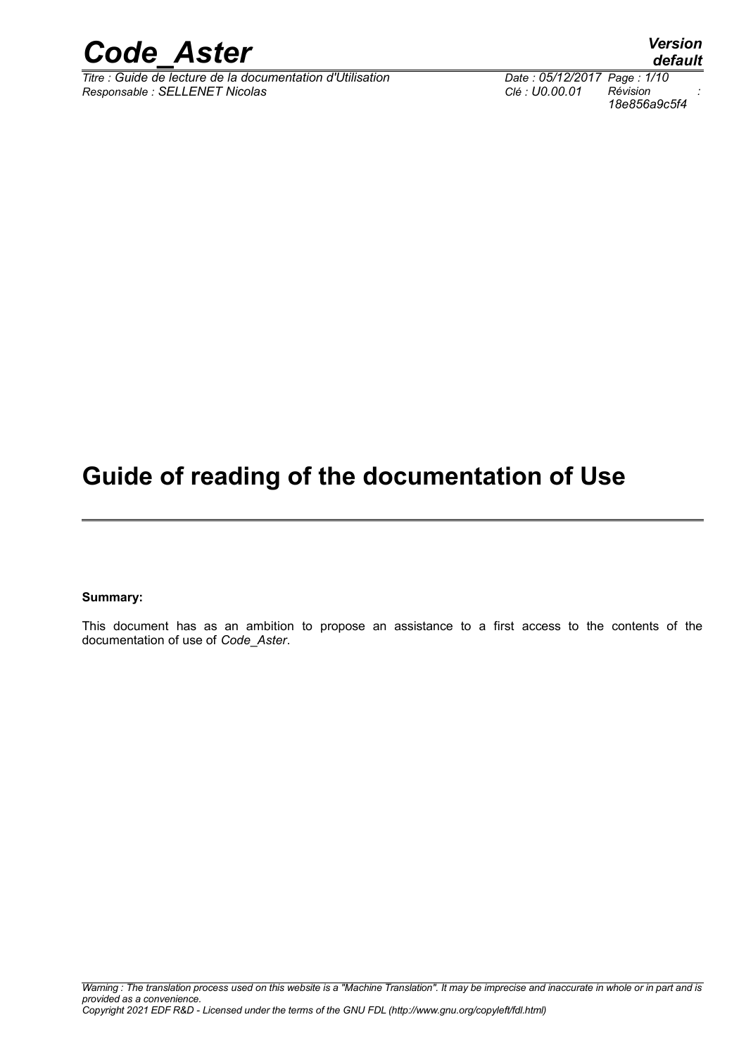

*Titre : Guide de lecture de la documentation d'Utilisation Date : 05/12/2017 Page : 1/10 Responsable : SELLENET Nicolas Clé : U0.00.01 Révision :*

*18e856a9c5f4*

## **Guide of reading of the documentation of Use**

**Summary:**

This document has as an ambition to propose an assistance to a first access to the contents of the documentation of use of *Code*\_*Aster*.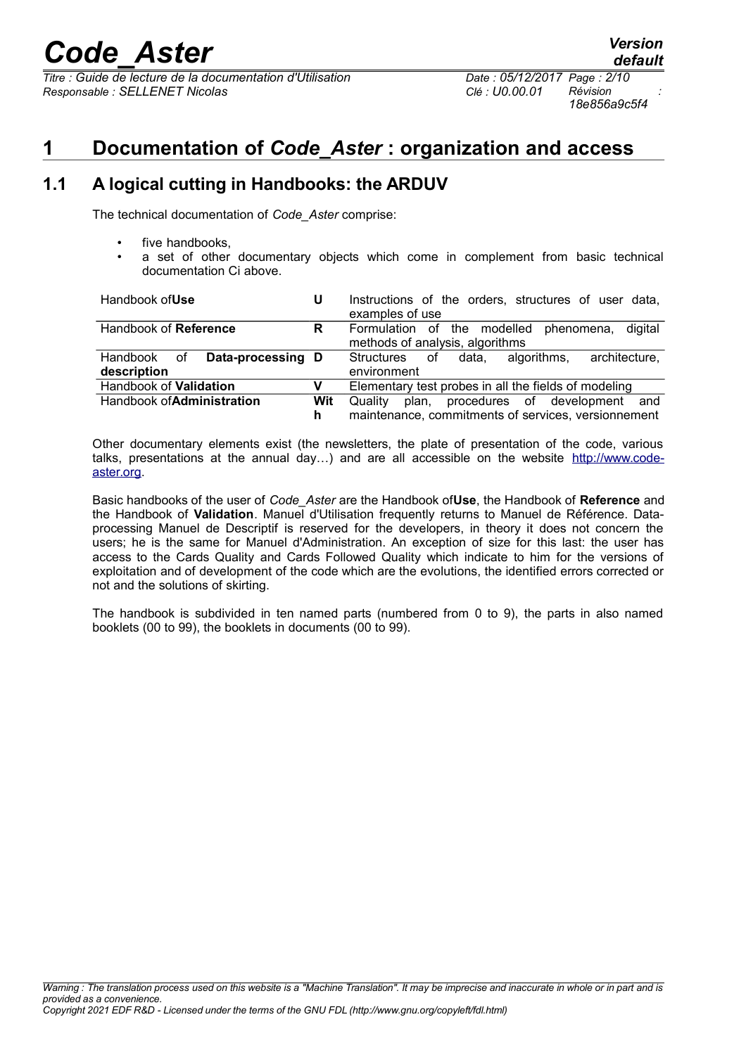*Titre : Guide de lecture de la documentation d'Utilisation Date : 05/12/2017 Page : 2/10 Responsable : SELLENET Nicolas Clé : U0.00.01 Révision :*

*18e856a9c5f4*

*default*

## **1 Documentation of** *Code\_Aster* **: organization and access**

## **1.1 A logical cutting in Handbooks: the ARDUV**

The technical documentation of *Code\_Aster* comprise:

- five handbooks.
- a set of other documentary objects which come in complement from basic technical documentation Ci above.

| Handbook of Use                     | U   | Instructions of the orders, structures of user data,<br>examples of use |
|-------------------------------------|-----|-------------------------------------------------------------------------|
| Handbook of Reference               | R   | digital<br>Formulation of the modelled<br>phenomena,                    |
|                                     |     | methods of analysis, algorithms                                         |
| Data-processing D<br>Handbook<br>οf |     | architecture,<br>data.<br>algorithms.<br>Structures<br>οf               |
| description                         |     | environment                                                             |
| Handbook of Validation              | v   | Elementary test probes in all the fields of modeling                    |
| Handbook of <b>Administration</b>   | Wit | procedures of development<br>Quality<br>plan.<br>and                    |
|                                     | h   | maintenance, commitments of services, versionnement                     |

Other documentary elements exist (the newsletters, the plate of presentation of the code, various talks, presentations at the annual day...) and are all accessible on the website [http://www.code](http://www.code-aster.org/)[aster.org.](http://www.code-aster.org/)

Basic handbooks of the user of *Code\_Aster* are the Handbook of**Use**, the Handbook of **Reference** and the Handbook of **Validation**. Manuel d'Utilisation frequently returns to Manuel de Référence. Dataprocessing Manuel de Descriptif is reserved for the developers, in theory it does not concern the users; he is the same for Manuel d'Administration. An exception of size for this last: the user has access to the Cards Quality and Cards Followed Quality which indicate to him for the versions of exploitation and of development of the code which are the evolutions, the identified errors corrected or not and the solutions of skirting.

The handbook is subdivided in ten named parts (numbered from 0 to 9), the parts in also named booklets (00 to 99), the booklets in documents (00 to 99).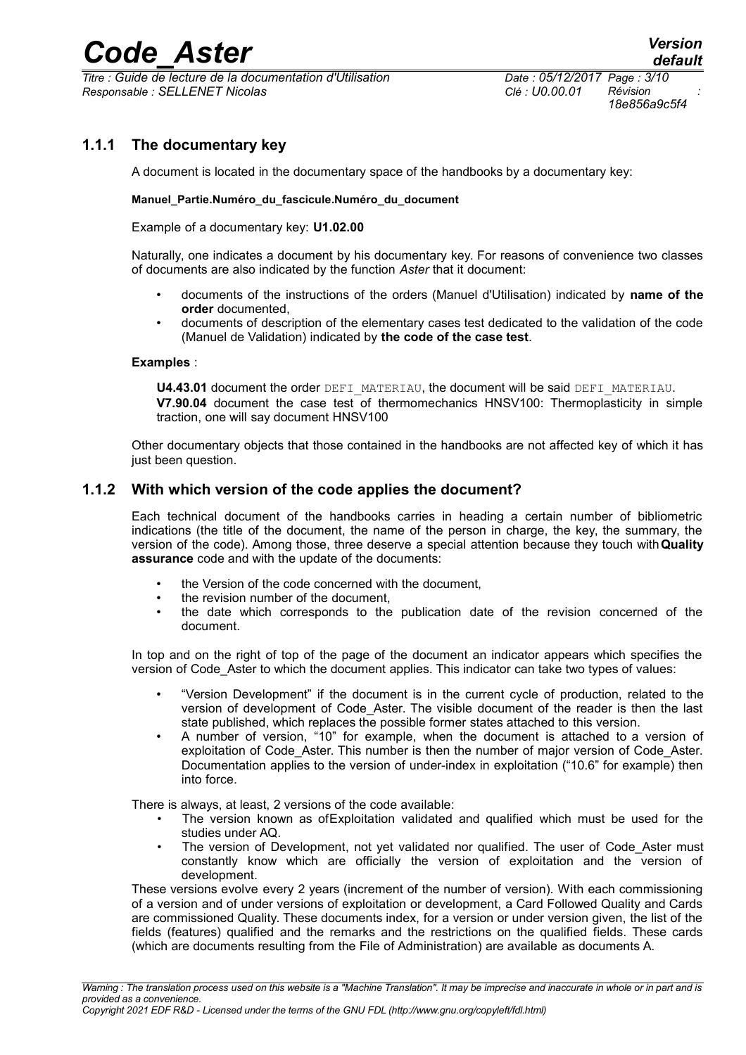$\overline{T}$ itre : *Guide de lecture de la documentation d'Utilisation Responsable : SELLENET Nicolas Clé : U0.00.01 Révision :*

*18e856a9c5f4*

### **1.1.1 The documentary key**

A document is located in the documentary space of the handbooks by a documentary key:

#### **Manuel\_Partie.Numéro\_du\_fascicule.Numéro\_du\_document**

Example of a documentary key: **U1.02.00**

Naturally, one indicates a document by his documentary key. For reasons of convenience two classes of documents are also indicated by the function *Aster* that it document:

- documents of the instructions of the orders (Manuel d'Utilisation) indicated by **name of the order** documented,
- documents of description of the elementary cases test dedicated to the validation of the code (Manuel de Validation) indicated by **the code of the case test**.

#### **Examples** :

**U4.43.01** document the order DEFI\_MATERIAU, the document will be said DEFI\_MATERIAU. **V7.90.04** document the case test of thermomechanics HNSV100: Thermoplasticity in simple traction, one will say document HNSV100

Other documentary objects that those contained in the handbooks are not affected key of which it has just been question.

#### **1.1.2 With which version of the code applies the document?**

Each technical document of the handbooks carries in heading a certain number of bibliometric indications (the title of the document, the name of the person in charge, the key, the summary, the version of the code). Among those, three deserve a special attention because they touch with**Quality assurance** code and with the update of the documents:

- the Version of the code concerned with the document.
- the revision number of the document.
- the date which corresponds to the publication date of the revision concerned of the document.

In top and on the right of top of the page of the document an indicator appears which specifies the version of Code\_Aster to which the document applies. This indicator can take two types of values:

- "Version Development" if the document is in the current cycle of production, related to the version of development of Code\_Aster. The visible document of the reader is then the last state published, which replaces the possible former states attached to this version.
- A number of version, "10" for example, when the document is attached to a version of exploitation of Code Aster. This number is then the number of major version of Code Aster. Documentation applies to the version of under-index in exploitation ("10.6" for example) then into force.

There is always, at least, 2 versions of the code available:

- The version known as of Exploitation validated and qualified which must be used for the studies under AQ.
- The version of Development, not vet validated nor qualified. The user of Code Aster must constantly know which are officially the version of exploitation and the version of development.

These versions evolve every 2 years (increment of the number of version). With each commissioning of a version and of under versions of exploitation or development, a Card Followed Quality and Cards are commissioned Quality. These documents index, for a version or under version given, the list of the fields (features) qualified and the remarks and the restrictions on the qualified fields. These cards (which are documents resulting from the File of Administration) are available as documents A.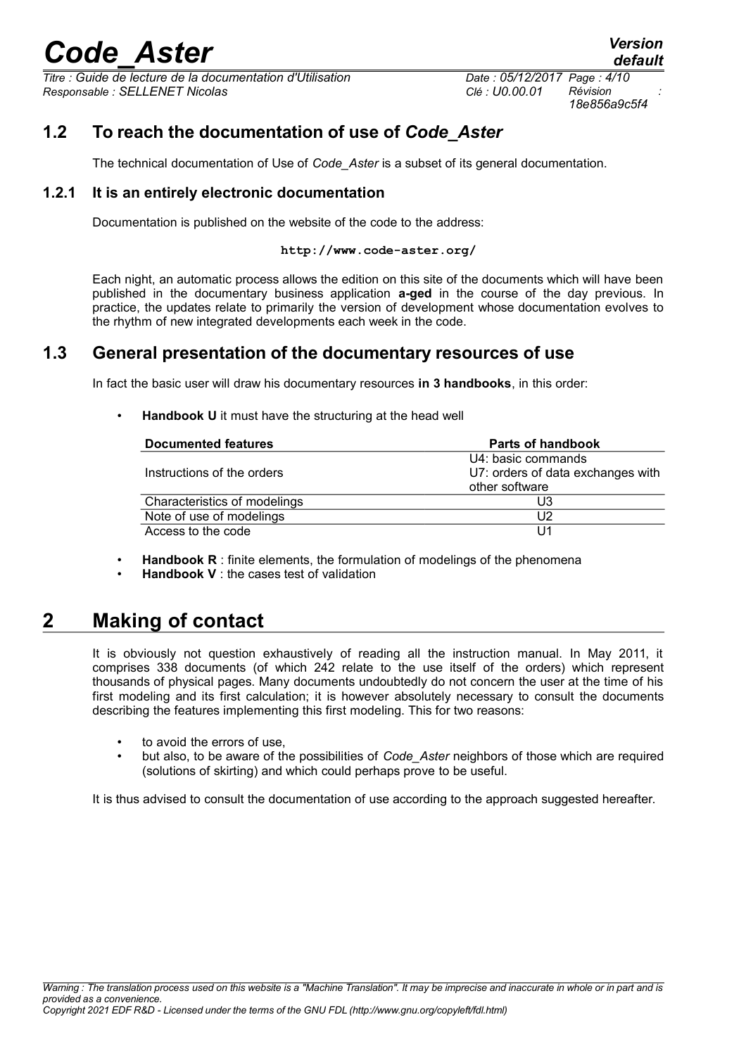*Titre : Guide de lecture de la documentation d'Utilisation Date : 05/12/2017 Page : 4/10 Responsable : SELLENET Nicolas Clé : U0.00.01 Révision :*

*18e856a9c5f4*

*default*

## **1.2 To reach the documentation of use of** *Code\_Aster*

The technical documentation of Use of *Code\_Aster* is a subset of its general documentation.

#### **1.2.1 It is an entirely electronic documentation**

Documentation is published on the website of the code to the address:

#### **http://www.code-aster.org/**

Each night, an automatic process allows the edition on this site of the documents which will have been published in the documentary business application **a-ged** in the course of the day previous. In practice, the updates relate to primarily the version of development whose documentation evolves to the rhythm of new integrated developments each week in the code.

### **1.3 General presentation of the documentary resources of use**

In fact the basic user will draw his documentary resources **in 3 handbooks**, in this order:

**Handbook U** it must have the structuring at the head well

| Documented features          | <b>Parts of handbook</b>          |
|------------------------------|-----------------------------------|
|                              | U4: basic commands                |
| Instructions of the orders   | U7: orders of data exchanges with |
|                              | other software                    |
| Characteristics of modelings | U3                                |
| Note of use of modelings     | U2                                |
| Access to the code           |                                   |

- **Handbook R** : finite elements, the formulation of modelings of the phenomena
- **Handbook V** : the cases test of validation

## **2 Making of contact**

It is obviously not question exhaustively of reading all the instruction manual. In May 2011, it comprises 338 documents (of which 242 relate to the use itself of the orders) which represent thousands of physical pages. Many documents undoubtedly do not concern the user at the time of his first modeling and its first calculation; it is however absolutely necessary to consult the documents describing the features implementing this first modeling. This for two reasons:

- to avoid the errors of use.
- but also, to be aware of the possibilities of *Code\_Aster* neighbors of those which are required (solutions of skirting) and which could perhaps prove to be useful.

It is thus advised to consult the documentation of use according to the approach suggested hereafter.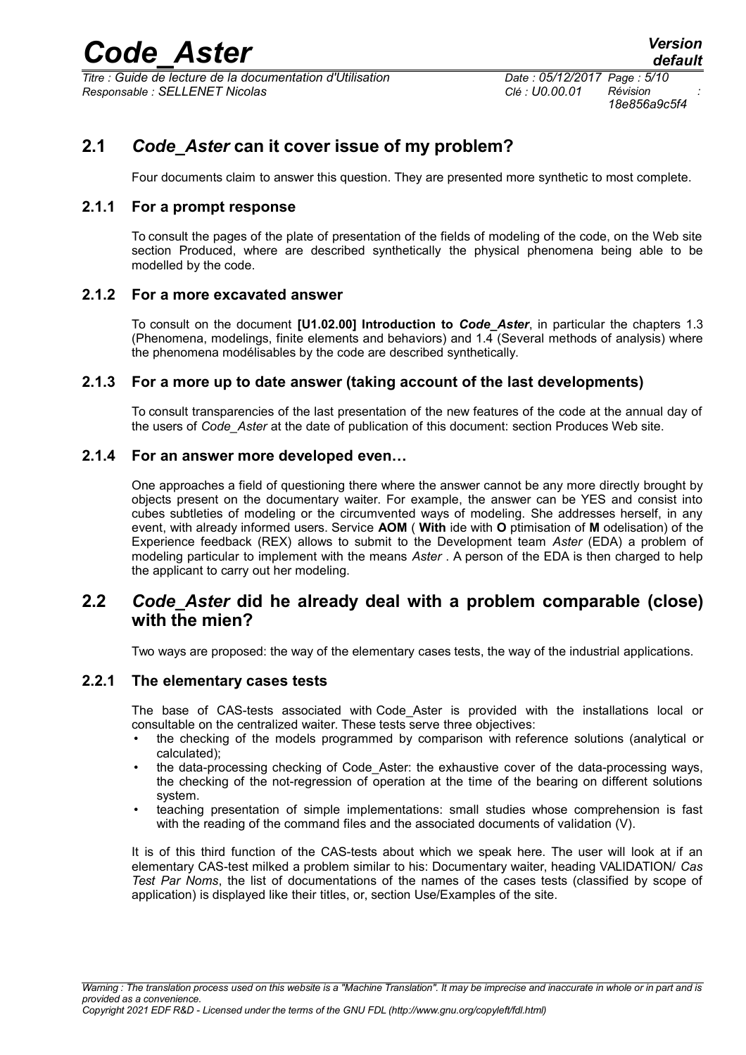*Titre : Guide de lecture de la documentation d'Utilisation Date : 05/12/2017 Page : 5/10 Responsable : SELLENET Nicolas Clé : U0.00.01 Révision :*

*18e856a9c5f4*

## **2.1** *Code\_Aster* **can it cover issue of my problem?**

Four documents claim to answer this question. They are presented more synthetic to most complete.

#### **2.1.1 For a prompt response**

To consult the pages of the plate of presentation of the fields of modeling of the code, on the Web site section Produced, where are described synthetically the physical phenomena being able to be modelled by the code.

#### **2.1.2 For a more excavated answer**

To consult on the document **[U1.02.00] Introduction to** *Code\_Aster*, in particular the chapters 1.3 (Phenomena, modelings, finite elements and behaviors) and 1.4 (Several methods of analysis) where the phenomena modélisables by the code are described synthetically.

#### **2.1.3 For a more up to date answer (taking account of the last developments)**

To consult transparencies of the last presentation of the new features of the code at the annual day of the users of *Code\_Aster* at the date of publication of this document: section Produces Web site.

#### **2.1.4 For an answer more developed even…**

One approaches a field of questioning there where the answer cannot be any more directly brought by objects present on the documentary waiter. For example, the answer can be YES and consist into cubes subtleties of modeling or the circumvented ways of modeling. She addresses herself, in any event, with already informed users. Service **AOM** ( **With** ide with **O** ptimisation of **M** odelisation) of the Experience feedback (REX) allows to submit to the Development team *Aster* (EDA) a problem of modeling particular to implement with the means *Aster* . A person of the EDA is then charged to help the applicant to carry out her modeling.

## **2.2** *Code\_Aster* **did he already deal with a problem comparable (close) with the mien?**

Two ways are proposed: the way of the elementary cases tests, the way of the industrial applications.

#### **2.2.1 The elementary cases tests**

The base of CAS-tests associated with Code Aster is provided with the installations local or consultable on the centralized waiter. These tests serve three objectives:

- the checking of the models programmed by comparison with reference solutions (analytical or calculated);
- the data-processing checking of Code\_Aster: the exhaustive cover of the data-processing ways, the checking of the not-regression of operation at the time of the bearing on different solutions system.
- teaching presentation of simple implementations: small studies whose comprehension is fast with the reading of the command files and the associated documents of validation (V).

It is of this third function of the CAS-tests about which we speak here. The user will look at if an elementary CAS-test milked a problem similar to his: Documentary waiter, heading VALIDATION/ *Cas Test Par Noms*, the list of documentations of the names of the cases tests (classified by scope of application) is displayed like their titles, or, section Use/Examples of the site.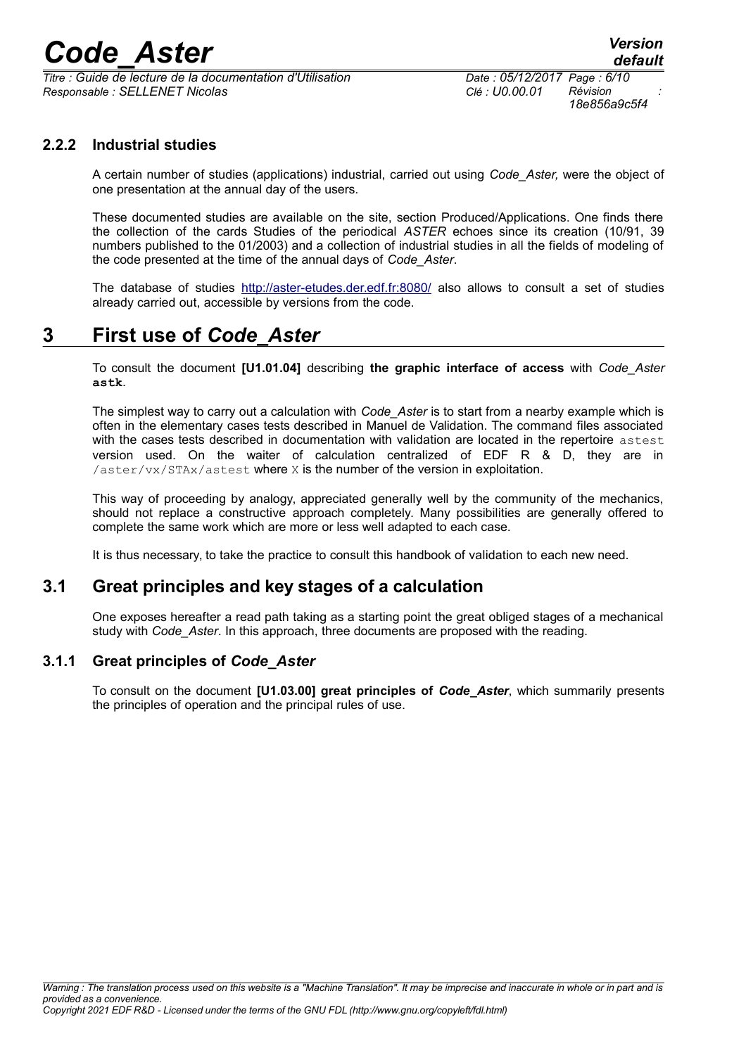*Titre : Guide de lecture de la documentation d'Utilisation Date : 05/12/2017 Page : 6/10 Responsable : SELLENET Nicolas Clé : U0.00.01 Révision :*

*18e856a9c5f4*

### **2.2.2 Industrial studies**

A certain number of studies (applications) industrial, carried out using *Code\_Aster,* were the object of one presentation at the annual day of the users.

These documented studies are available on the site, section Produced/Applications. One finds there the collection of the cards Studies of the periodical *ASTER* echoes since its creation (10/91, 39 numbers published to the 01/2003) and a collection of industrial studies in all the fields of modeling of the code presented at the time of the annual days of *Code\_Aster*.

The database of studies<http://aster-etudes.der.edf.fr:8080/>also allows to consult a set of studies already carried out, accessible by versions from the code.

## **3 First use of** *Code\_Aster*

To consult the document **[U1.01.04]** describing **the graphic interface of access** with *Code\_Aster* **astk**.

The simplest way to carry out a calculation with *Code\_Aster* is to start from a nearby example which is often in the elementary cases tests described in Manuel de Validation. The command files associated with the cases tests described in documentation with validation are located in the repertoire astest version used. On the waiter of calculation centralized of EDF R & D, they are in /aster/vx/STAx/astest where X is the number of the version in exploitation.

This way of proceeding by analogy, appreciated generally well by the community of the mechanics, should not replace a constructive approach completely. Many possibilities are generally offered to complete the same work which are more or less well adapted to each case.

It is thus necessary, to take the practice to consult this handbook of validation to each new need.

### **3.1 Great principles and key stages of a calculation**

One exposes hereafter a read path taking as a starting point the great obliged stages of a mechanical study with *Code\_Aster*. In this approach, three documents are proposed with the reading.

#### **3.1.1 Great principles of** *Code\_Aster*

To consult on the document **[U1.03.00] great principles of** *Code***\_***Aster*, which summarily presents the principles of operation and the principal rules of use.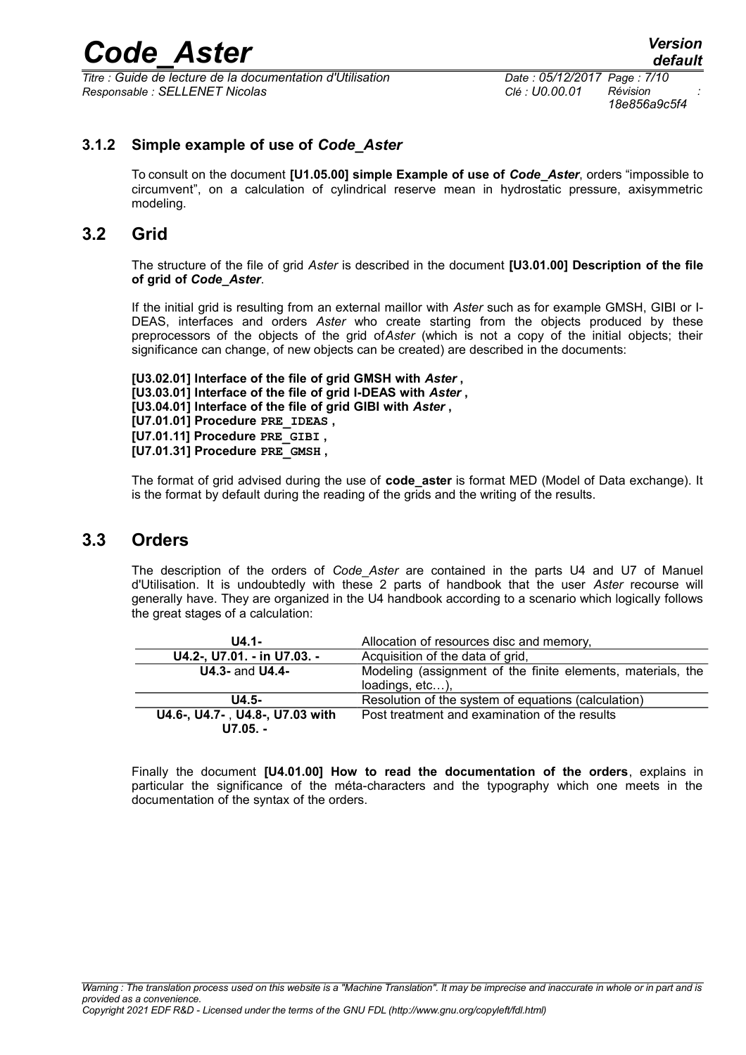*Titre : Guide de lecture de la documentation d'Utilisation Date : 05/12/2017 Page : 7/10 Responsable : SELLENET Nicolas Clé : U0.00.01 Révision :*

#### **3.1.2 Simple example of use of** *Code\_Aster*

To consult on the document **[U1.05.00] simple Example of use of** *Code***\_***Aster*, orders "impossible to circumvent", on a calculation of cylindrical reserve mean in hydrostatic pressure, axisymmetric modeling.

### **3.2 Grid**

The structure of the file of grid *Aster* is described in the document **[U3.01.00] Description of the file of grid of** *Code\_Aster*.

If the initial grid is resulting from an external maillor with *Aster* such as for example GMSH, GIBI or I-DEAS, interfaces and orders *Aster* who create starting from the objects produced by these preprocessors of the objects of the grid of*Aster* (which is not a copy of the initial objects; their significance can change, of new objects can be created) are described in the documents:

**[U3.02.01] Interface of the file of grid GMSH with** *Aster* **, [U3.03.01] Interface of the file of grid I-DEAS with** *Aster* **, [U3.04.01] Interface of the file of grid GIBI with** *Aster* **, [U7.01.01] Procedure PRE\_IDEAS , [U7.01.11] Procedure PRE\_GIBI , [U7.01.31] Procedure PRE\_GMSH ,**

The format of grid advised during the use of **code\_aster** is format MED (Model of Data exchange). It is the format by default during the reading of the grids and the writing of the results.

#### **3.3 Orders**

The description of the orders of *Code*\_*Aster* are contained in the parts U4 and U7 of Manuel d'Utilisation. It is undoubtedly with these 2 parts of handbook that the user *Aster* recourse will generally have. They are organized in the U4 handbook according to a scenario which logically follows the great stages of a calculation:

| $U4.1 -$                        | Allocation of resources disc and memory,                    |
|---------------------------------|-------------------------------------------------------------|
| U4.2-, U7.01. - in U7.03. -     | Acquisition of the data of grid,                            |
| <b>U4.3- and U4.4-</b>          | Modeling (assignment of the finite elements, materials, the |
|                                 | loadings, etc),                                             |
| $U4.5-$                         | Resolution of the system of equations (calculation)         |
| U4.6-, U4.7-, U4.8-, U7.03 with | Post treatment and examination of the results               |
| $U7.05. -$                      |                                                             |

Finally the document **[U4.01.00] How to read the documentation of the orders**, explains in particular the significance of the méta-characters and the typography which one meets in the documentation of the syntax of the orders.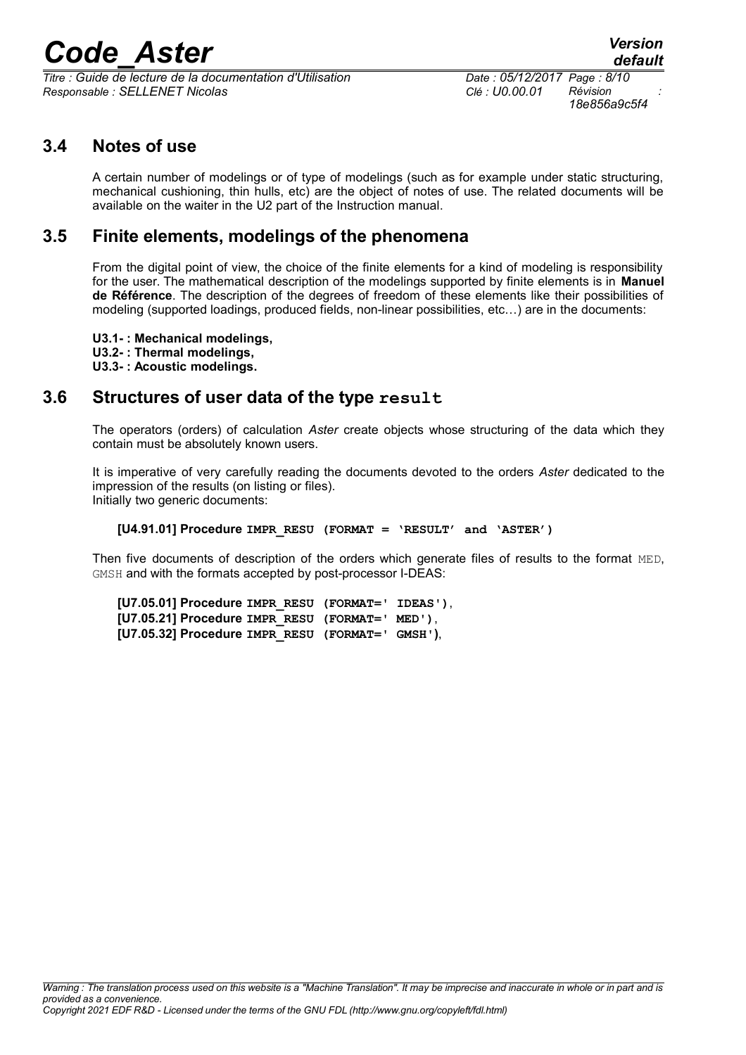*Titre : Guide de lecture de la documentation d'Utilisation Date : 05/12/2017 Page : 8/10 Responsable : SELLENET Nicolas Clé : U0.00.01 Révision :*

*18e856a9c5f4*

## **3.4 Notes of use**

A certain number of modelings or of type of modelings (such as for example under static structuring, mechanical cushioning, thin hulls, etc) are the object of notes of use. The related documents will be available on the waiter in the U2 part of the Instruction manual.

## **3.5 Finite elements, modelings of the phenomena**

From the digital point of view, the choice of the finite elements for a kind of modeling is responsibility for the user. The mathematical description of the modelings supported by finite elements is in **Manuel de Référence**. The description of the degrees of freedom of these elements like their possibilities of modeling (supported loadings, produced fields, non-linear possibilities, etc…) are in the documents:

**U3.1- : Mechanical modelings, U3.2- : Thermal modelings, U3.3- : Acoustic modelings.**

### **3.6 Structures of user data of the type result**

The operators (orders) of calculation *Aster* create objects whose structuring of the data which they contain must be absolutely known users.

It is imperative of very carefully reading the documents devoted to the orders *Aster* dedicated to the impression of the results (on listing or files). Initially two generic documents:

**[U4.91.01] Procedure IMPR\_RESU (FORMAT = 'RESULT' and 'ASTER')**

Then five documents of description of the orders which generate files of results to the format MED, GMSH and with the formats accepted by post-processor I-DEAS:

**[U7.05.01] Procedure IMPR\_RESU (FORMAT=' IDEAS')**, **[U7.05.21] Procedure IMPR\_RESU (FORMAT=' MED')**, **[U7.05.32] Procedure IMPR\_RESU (FORMAT=' GMSH')**,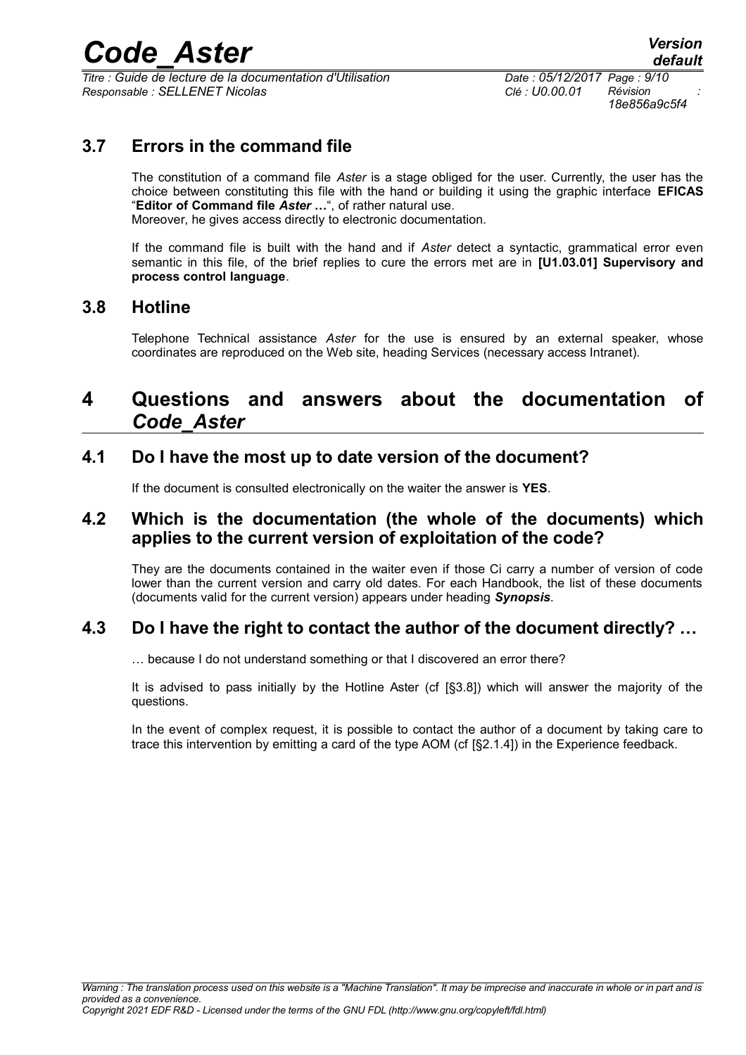*Titre : Guide de lecture de la documentation d'Utilisation Date : 05/12/2017 Page : 9/10 Responsable : SELLENET Nicolas Clé : U0.00.01 Révision :*

*18e856a9c5f4*

## **3.7 Errors in the command file**

The constitution of a command file *Aster* is a stage obliged for the user. Currently, the user has the choice between constituting this file with the hand or building it using the graphic interface **EFICAS** "**Editor of Command file** *Aster* **…**", of rather natural use. Moreover, he gives access directly to electronic documentation.

If the command file is built with the hand and if *Aster* detect a syntactic, grammatical error even semantic in this file, of the brief replies to cure the errors met are in **[U1.03.01] Supervisory and process control language**.

### **3.8 Hotline**

Telephone Technical assistance *Aster* for the use is ensured by an external speaker, whose coordinates are reproduced on the Web site, heading Services (necessary access Intranet).

## **4 Questions and answers about the documentation of** *Code\_Aster*

## **4.1 Do I have the most up to date version of the document?**

If the document is consulted electronically on the waiter the answer is **YES**.

### **4.2 Which is the documentation (the whole of the documents) which applies to the current version of exploitation of the code?**

They are the documents contained in the waiter even if those Ci carry a number of version of code lower than the current version and carry old dates. For each Handbook, the list of these documents (documents valid for the current version) appears under heading *Synopsis*.

## **4.3 Do I have the right to contact the author of the document directly? …**

… because I do not understand something or that I discovered an error there?

It is advised to pass initially by the Hotline Aster (cf [§3.8]) which will answer the majority of the questions.

In the event of complex request, it is possible to contact the author of a document by taking care to trace this intervention by emitting a card of the type AOM (cf [§2.1.4]) in the Experience feedback.